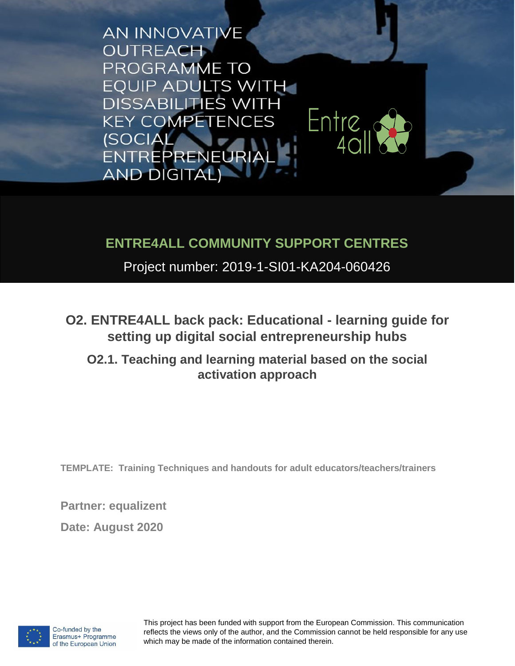**AN INNOVATIVE OUTREACH** PROGRAMME TO **EQUIP ADULTS WITH DISSABILITIES WITH** Entre<sub>us</sub> **KEY COMPETENCES (SOCIAL)** ENTREPRENEURIA **AND DIGITAL)** 

## **ENTRE4ALL COMMUNITY SUPPORT CENTRES**

Project number: 2019-1-SI01-KA204-060426

**O2. ENTRE4ALL back pack: Educational - learning guide for setting up digital social entrepreneurship hubs** 

**O2.1. Teaching and learning material based on the social activation approach**

**TEMPLATE: Training Techniques and handouts for adult educators/teachers/trainers**

**Partner: equalizent**

**Date: August 2020**



This project has been funded with support from the European Commission. This communication reflects the views only of the author, and the Commission cannot be held responsible for any use which may be made of the information contained therein.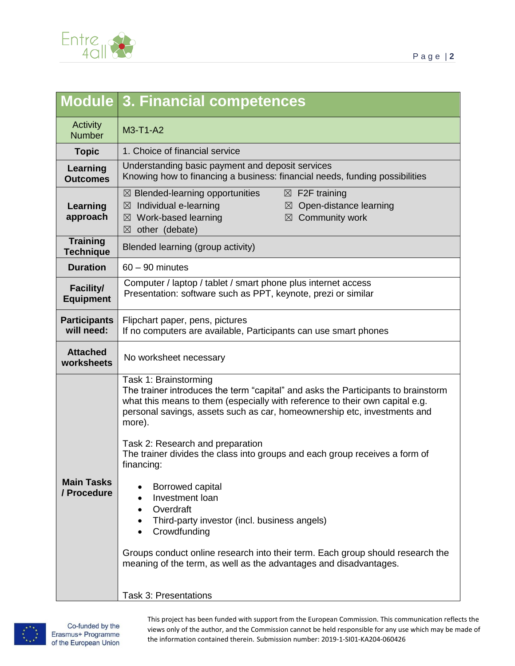

|                                      | Module 3. Financial competences                                                                                                                                                                                                                                                  |
|--------------------------------------|----------------------------------------------------------------------------------------------------------------------------------------------------------------------------------------------------------------------------------------------------------------------------------|
| <b>Activity</b><br><b>Number</b>     | M3-T1-A2                                                                                                                                                                                                                                                                         |
| <b>Topic</b>                         | 1. Choice of financial service                                                                                                                                                                                                                                                   |
| Learning<br><b>Outcomes</b>          | Understanding basic payment and deposit services<br>Knowing how to financing a business: financial needs, funding possibilities                                                                                                                                                  |
| Learning<br>approach                 | $\boxtimes$ Blended-learning opportunities<br>$\boxtimes$ F2F training<br>$\boxtimes$ Individual e-learning<br>$\boxtimes$ Open-distance learning<br>$\boxtimes$ Community work<br>$\boxtimes$ Work-based learning<br>$\boxtimes$ other (debate)                                 |
| <b>Training</b><br><b>Technique</b>  | Blended learning (group activity)                                                                                                                                                                                                                                                |
| <b>Duration</b>                      | $60 - 90$ minutes                                                                                                                                                                                                                                                                |
| <b>Facility/</b><br><b>Equipment</b> | Computer / laptop / tablet / smart phone plus internet access<br>Presentation: software such as PPT, keynote, prezi or similar                                                                                                                                                   |
| <b>Participants</b><br>will need:    | Flipchart paper, pens, pictures<br>If no computers are available, Participants can use smart phones                                                                                                                                                                              |
| <b>Attached</b><br>worksheets        | No worksheet necessary                                                                                                                                                                                                                                                           |
|                                      | Task 1: Brainstorming<br>The trainer introduces the term "capital" and asks the Participants to brainstorm<br>what this means to them (especially with reference to their own capital e.g.<br>personal savings, assets such as car, homeownership etc, investments and<br>more). |
|                                      | Task 2: Research and preparation<br>The trainer divides the class into groups and each group receives a form of<br>financing:                                                                                                                                                    |
| <b>Main Tasks</b><br>/ Procedure     | Borrowed capital<br>Investment loan<br>Overdraft<br>$\bullet$<br>Third-party investor (incl. business angels)<br>Crowdfunding                                                                                                                                                    |
|                                      | Groups conduct online research into their term. Each group should research the<br>meaning of the term, as well as the advantages and disadvantages.                                                                                                                              |
|                                      | <b>Task 3: Presentations</b>                                                                                                                                                                                                                                                     |



This project has been funded with support from the European Commission. This communication reflects the views only of the author, and the Commission cannot be held responsible for any use which may be made of the information contained therein. Submission number: 2019-1-SI01-KA204-060426